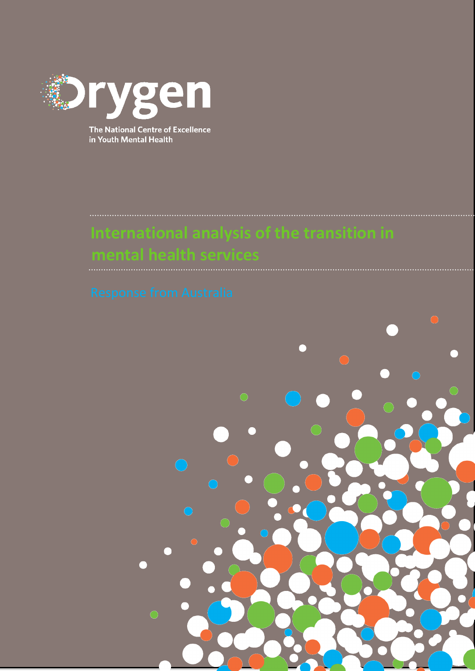

The National Centre of Excellence in Youth Mental Health

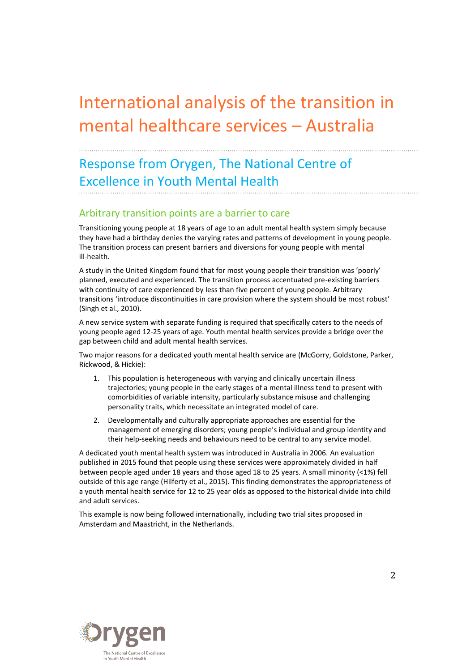# International analysis of the transition in mental healthcare services – Australia

## Response from Orygen, The National Centre of Excellence in Youth Mental Health

#### Arbitrary transition points are a barrier to care

Transitioning young people at 18 years of age to an adult mental health system simply because they have had a birthday denies the varying rates and patterns of development in young people. The transition process can present barriers and diversions for young people with mental ill-health.

A study in the United Kingdom found that for most young people their transition was 'poorly' planned, executed and experienced. The transition process accentuated pre-existing barriers with continuity of care experienced by less than five percent of young people. Arbitrary transitions 'introduce discontinuities in care provision where the system should be most robust' (Singh et al., 2010).

A new service system with separate funding is required that specifically caters to the needs of young people aged 12-25 years of age. Youth mental health services provide a bridge over the gap between child and adult mental health services.

Two major reasons for a dedicated youth mental health service are (McGorry, Goldstone, Parker, Rickwood, & Hickie):

- 1. This population is heterogeneous with varying and clinically uncertain illness trajectories; young people in the early stages of a mental illness tend to present with comorbidities of variable intensity, particularly substance misuse and challenging personality traits, which necessitate an integrated model of care.
- 2. Developmentally and culturally appropriate approaches are essential for the management of emerging disorders; young people's individual and group identity and their help-seeking needs and behaviours need to be central to any service model.

A dedicated youth mental health system was introduced in Australia in 2006. An evaluation published in 2015 found that people using these services were approximately divided in half between people aged under 18 years and those aged 18 to 25 years. A small minority (<1%) fell outside of this age range (Hilferty et al., 2015). This finding demonstrates the appropriateness of a youth mental health service for 12 to 25 year olds as opposed to the historical divide into child and adult services.

This example is now being followed internationally, including two trial sites proposed in Amsterdam and Maastricht, in the Netherlands.

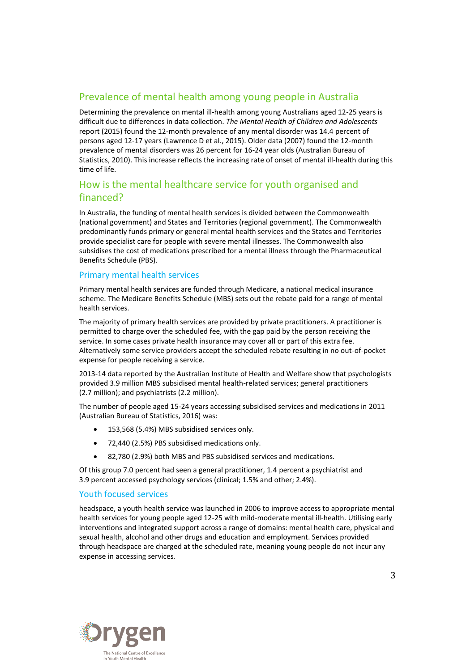### Prevalence of mental health among young people in Australia

Determining the prevalence on mental ill-health among young Australians aged 12-25 years is difficult due to differences in data collection. *The Mental Health of Children and Adolescents* report (2015) found the 12-month prevalence of any mental disorder was 14.4 percent of persons aged 12-17 years (Lawrence D et al., 2015). Older data (2007) found the 12-month prevalence of mental disorders was 26 percent for 16-24 year olds (Australian Bureau of Statistics, 2010). This increase reflects the increasing rate of onset of mental ill-health during this time of life.

## How is the mental healthcare service for youth organised and financed?

In Australia, the funding of mental health services is divided between the Commonwealth (national government) and States and Territories (regional government). The Commonwealth predominantly funds primary or general mental health services and the States and Territories provide specialist care for people with severe mental illnesses. The Commonwealth also subsidises the cost of medications prescribed for a mental illness through the Pharmaceutical Benefits Schedule (PBS).

#### Primary mental health services

Primary mental health services are funded through Medicare, a national medical insurance scheme. The Medicare Benefits Schedule (MBS) sets out the rebate paid for a range of mental health services.

The majority of primary health services are provided by private practitioners. A practitioner is permitted to charge over the scheduled fee, with the gap paid by the person receiving the service. In some cases private health insurance may cover all or part of this extra fee. Alternatively some service providers accept the scheduled rebate resulting in no out-of-pocket expense for people receiving a service.

2013-14 data reported by the Australian Institute of Health and Welfare show that psychologists provided 3.9 million MBS subsidised mental health-related services; general practitioners (2.7 million); and psychiatrists (2.2 million).

The number of people aged 15-24 years accessing subsidised services and medications in 2011 (Australian Bureau of Statistics, 2016) was:

- 153,568 (5.4%) MBS subsidised services only.
- 72,440 (2.5%) PBS subsidised medications only.
- 82,780 (2.9%) both MBS and PBS subsidised services and medications.

Of this group 7.0 percent had seen a general practitioner, 1.4 percent a psychiatrist and 3.9 percent accessed psychology services (clinical; 1.5% and other; 2.4%).

#### Youth focused services

headspace, a youth health service was launched in 2006 to improve access to appropriate mental health services for young people aged 12-25 with mild-moderate mental ill-health. Utilising early interventions and integrated support across a range of domains: mental health care, physical and sexual health, alcohol and other drugs and education and employment. Services provided through headspace are charged at the scheduled rate, meaning young people do not incur any expense in accessing services.

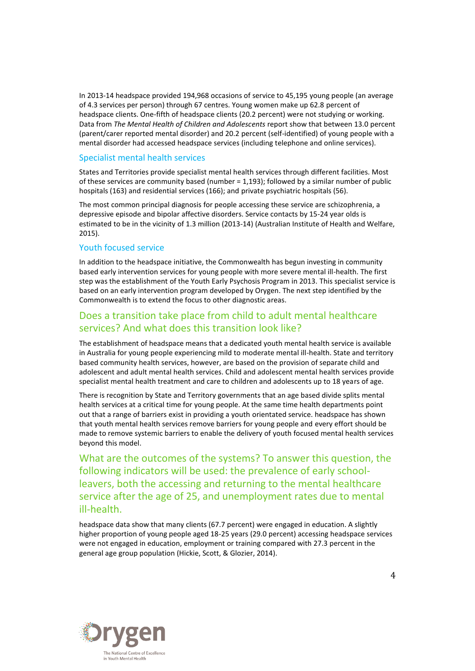In 2013-14 headspace provided 194,968 occasions of service to 45,195 young people (an average of 4.3 services per person) through 67 centres. Young women make up 62.8 percent of headspace clients. One-fifth of headspace clients (20.2 percent) were not studying or working. Data from *The Mental Health of Children and Adolescents* report show that between 13.0 percent (parent/carer reported mental disorder) and 20.2 percent (self-identified) of young people with a mental disorder had accessed headspace services (including telephone and online services).

#### Specialist mental health services

States and Territories provide specialist mental health services through different facilities. Most of these services are community based (number = 1,193); followed by a similar number of public hospitals (163) and residential services (166); and private psychiatric hospitals (56).

The most common principal diagnosis for people accessing these service are schizophrenia, a depressive episode and bipolar affective disorders. Service contacts by 15-24 year olds is estimated to be in the vicinity of 1.3 million (2013-14) (Australian Institute of Health and Welfare, 2015).

#### Youth focused service

In addition to the headspace initiative, the Commonwealth has begun investing in community based early intervention services for young people with more severe mental ill-health. The first step was the establishment of the Youth Early Psychosis Program in 2013. This specialist service is based on an early intervention program developed by Orygen. The next step identified by the Commonwealth is to extend the focus to other diagnostic areas.

### Does a transition take place from child to adult mental healthcare services? And what does this transition look like?

The establishment of headspace means that a dedicated youth mental health service is available in Australia for young people experiencing mild to moderate mental ill-health. State and territory based community health services, however, are based on the provision of separate child and adolescent and adult mental health services. Child and adolescent mental health services provide specialist mental health treatment and care to children and adolescents up to 18 years of age.

There is recognition by State and Territory governments that an age based divide splits mental health services at a critical time for young people. At the same time health departments point out that a range of barriers exist in providing a youth orientated service. headspace has shown that youth mental health services remove barriers for young people and every effort should be made to remove systemic barriers to enable the delivery of youth focused mental health services beyond this model.

What are the outcomes of the systems? To answer this question, the following indicators will be used: the prevalence of early schoolleavers, both the accessing and returning to the mental healthcare service after the age of 25, and unemployment rates due to mental ill-health.

headspace data show that many clients (67.7 percent) were engaged in education. A slightly higher proportion of young people aged 18-25 years (29.0 percent) accessing headspace services were not engaged in education, employment or training compared with 27.3 percent in the general age group population (Hickie, Scott, & Glozier, 2014).

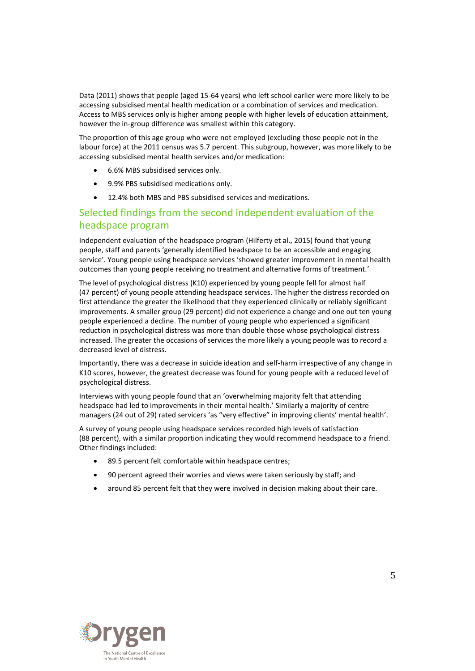Data (2011) shows that people (aged 15-64 years) who left school earlier were more likely to be accessing subsidised mental health medication or a combination of services and medication. Access to MBS services only is higher among people with higher levels of education attainment, however the in-group difference was smallest within this category.

The proportion of this age group who were not employed (excluding those people not in the labour force) at the 2011 census was 5.7 percent. This subgroup, however, was more likely to be accessing subsidised mental health services and/or medication:

- 6.6% MBS subsidised services only.
- 9.9% PBS subsidised medications only.
- 12.4% both MBS and PBS subsidised services and medications.

### Selected findings from the second independent evaluation of the headspace program

Independent evaluation of the headspace program (Hilferty et al., 2015) found that young people, staff and parents 'generally identified headspace to be an accessible and engaging service'. Young people using headspace services 'showed greater improvement in mental health outcomes than young people receiving no treatment and alternative forms of treatment.'

The level of psychological distress (K10) experienced by young people fell for almost half (47 percent) of young people attending headspace services. The higher the distress recorded on first attendance the greater the likelihood that they experienced clinically or reliably significant improvements. A smaller group (29 percent) did not experience a change and one out ten young people experienced a decline. The number of young people who experienced a significant reduction in psychological distress was more than double those whose psychological distress increased. The greater the occasions of services the more likely a young people was to record a decreased level of distress.

Importantly, there was a decrease in suicide ideation and self-harm irrespective of any change in K10 scores, however, the greatest decrease was found for young people with a reduced level of psychological distress.

Interviews with young people found that an 'overwhelming majority felt that attending headspace had led to improvements in their mental health.' Similarly a majority of centre managers (24 out of 29) rated servicers 'as "very effective" in improving clients' mental health'.

A survey of young people using headspace services recorded high levels of satisfaction (88 percent), with a similar proportion indicating they would recommend headspace to a friend. Other findings included:

- 89.5 percent felt comfortable within headspace centres;
- 90 percent agreed their worries and views were taken seriously by staff; and
- around 85 percent felt that they were involved in decision making about their care.